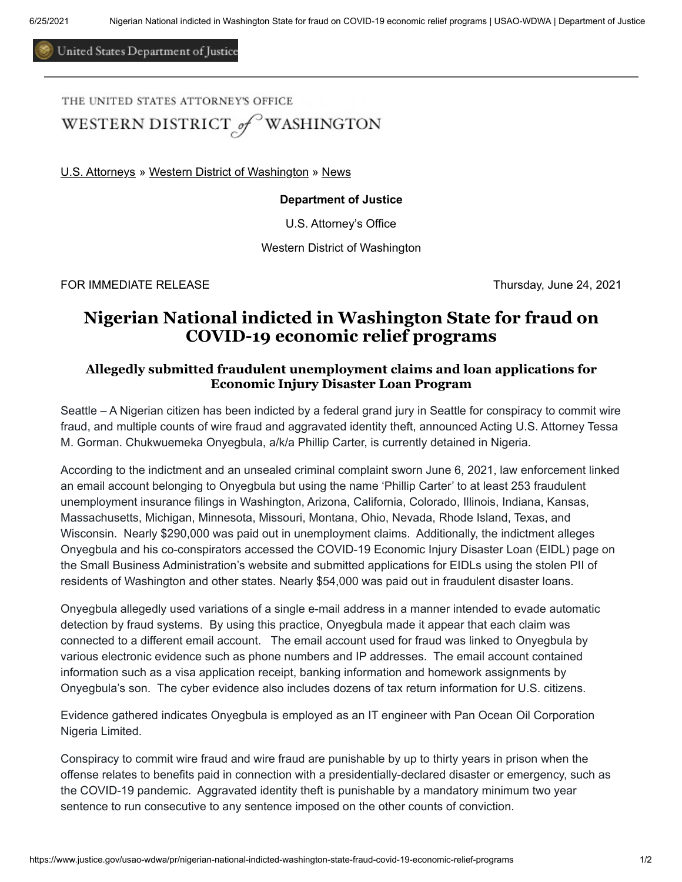United States Department of Justice

THE UNITED STATES ATTORNEY'S OFFICE

WESTERN DISTRICT of WASHINGTON

[U.S. Attorneys](https://www.justice.gov/usao) » [Western District of Washington](https://www.justice.gov/usao-wdwa) » [News](https://www.justice.gov/usao-wdwa/pr)

## **Department of Justice**

U.S. Attorney's Office

Western District of Washington

FOR IMMEDIATE RELEASE Thursday, June 24, 2021

## **Nigerian National indicted in Washington State for fraud on COVID-19 economic relief programs**

## **Allegedly submitted fraudulent unemployment claims and loan applications for Economic Injury Disaster Loan Program**

Seattle – A Nigerian citizen has been indicted by a federal grand jury in Seattle for conspiracy to commit wire fraud, and multiple counts of wire fraud and aggravated identity theft, announced Acting U.S. Attorney Tessa M. Gorman. Chukwuemeka Onyegbula, a/k/a Phillip Carter, is currently detained in Nigeria.

According to the indictment and an unsealed criminal complaint sworn June 6, 2021, law enforcement linked an email account belonging to Onyegbula but using the name 'Phillip Carter' to at least 253 fraudulent unemployment insurance filings in Washington, Arizona, California, Colorado, Illinois, Indiana, Kansas, Massachusetts, Michigan, Minnesota, Missouri, Montana, Ohio, Nevada, Rhode Island, Texas, and Wisconsin. Nearly \$290,000 was paid out in unemployment claims. Additionally, the indictment alleges Onyegbula and his co-conspirators accessed the COVID-19 Economic Injury Disaster Loan (EIDL) page on the Small Business Administration's website and submitted applications for EIDLs using the stolen PII of residents of Washington and other states. Nearly \$54,000 was paid out in fraudulent disaster loans.

Onyegbula allegedly used variations of a single e-mail address in a manner intended to evade automatic detection by fraud systems. By using this practice, Onyegbula made it appear that each claim was connected to a different email account. The email account used for fraud was linked to Onyegbula by various electronic evidence such as phone numbers and IP addresses. The email account contained information such as a visa application receipt, banking information and homework assignments by Onyegbula's son. The cyber evidence also includes dozens of tax return information for U.S. citizens.

Evidence gathered indicates Onyegbula is employed as an IT engineer with Pan Ocean Oil Corporation Nigeria Limited.

Conspiracy to commit wire fraud and wire fraud are punishable by up to thirty years in prison when the offense relates to benefits paid in connection with a presidentially-declared disaster or emergency, such as the COVID-19 pandemic. Aggravated identity theft is punishable by a mandatory minimum two year sentence to run consecutive to any sentence imposed on the other counts of conviction.